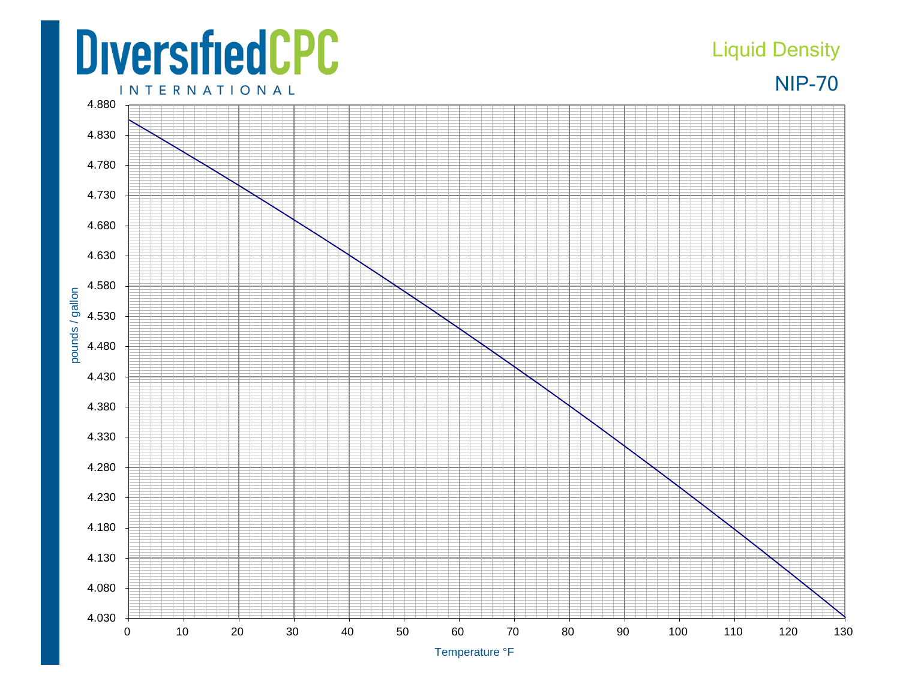## **DiversifiedCPC**

## Liquid Density

NIP-70

**INTERNATIONAL**